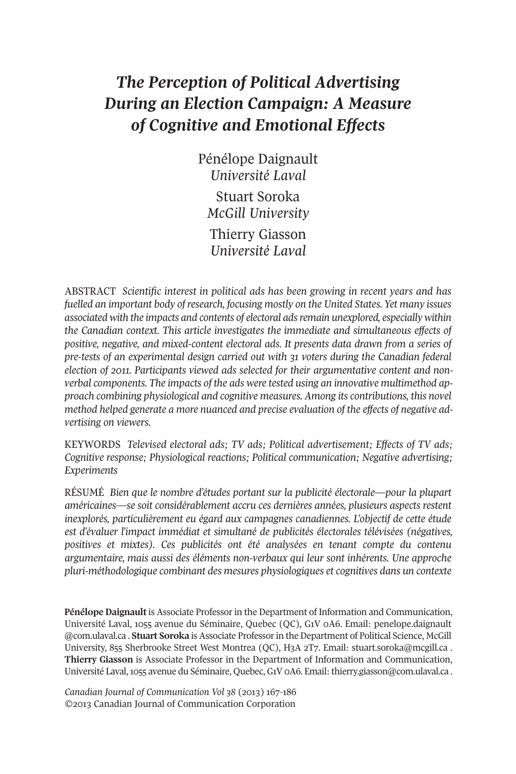# *The Perception of Political Advertising During an Election Campaign: A Measure of Cognitive and Emotional Effects*

Pénélope Daignault *Université Laval* Stuart Soroka *McGill University* Thierry Giasson *Université Laval*

AbSTrACT *Scientific interest in political ads has been growing in recent years and has fuelled an important body of research, focusing mostly on the United States. Yet many issues associated with the impacts and contents of electoral adsremain unexplored, especially within the Canadian context. This article investigates the immediate and simultaneous effects of positive, negative, and mixed-content electoral ads. It presents data drawn from a series of pre-tests of an experimental design carried out with 31 voters during the Canadian federal election of 2011. Participants viewed ads selected for their argumentative content and nonverbal components. The impacts of the ads were tested using an innovative multimethod approach combining physiological and cognitive measures. Among its contributions, this novel method helped generate a more nuanced and precise evaluation of the effects of negative advertising on viewers.*

KEyWorDS *Televised electoral ads; TV ads; Political advertisement; Effects of TV ads; Cognitive response; Physiological reactions; Political communication; Negative advertising; Experiments*

réSUMé *Bien que le nombre d'études portant sur la publicité électorale—pour la plupart américaines—se soit considérablement accru ces dernières années, plusieurs aspects restent inexplorés, particulièrement eu égard aux campagnes canadiennes. L'objectif de cette étude est d'évaluer l'impact immédiat et simultané de publicités électorales télévisées (négatives, positives et mixtes). Ces publicités ont été analysées en tenant compte du contenu argumentaire, mais aussi des éléments non-verbaux qui leur sont inhérents. Une approche pluri-méthodologique combinant des mesures physiologiques et cognitives dans un contexte*

**Pénélope Daignault** is Associate Professor in the Department of Information and Communication, Université Laval, 1055 avenue du Séminaire, Quebec (QC), G1V 0A6. Email: [penelope.daignault](mailto:penelope.daignault@com.ulaval.ca) [@com.ulaval.ca](mailto:penelope.daignault@com.ulaval.ca) . **Stuart Soroka** is Associate Professorin the Department of Political Science, McGill University, 855 Sherbrooke Street West Montrea (QC), H3A 2T7. Email: [stuart.soroka@mcgill.ca](mailto:stuart.soroka@mcgill.ca) . **Thierry Giasson** is Associate Professor in the Department of Information and Communication, Université Laval,1055 avenue du Séminaire, Quebec, G1V 0A6. Email: [thierry.giasson@com.ulaval.ca](mailto:thierry.giasson@com.ulaval.ca) .

*Canadian Journal of Communication Vol 38* (2013) 167-186 ©2013 Canadian Journal of Communication Corporation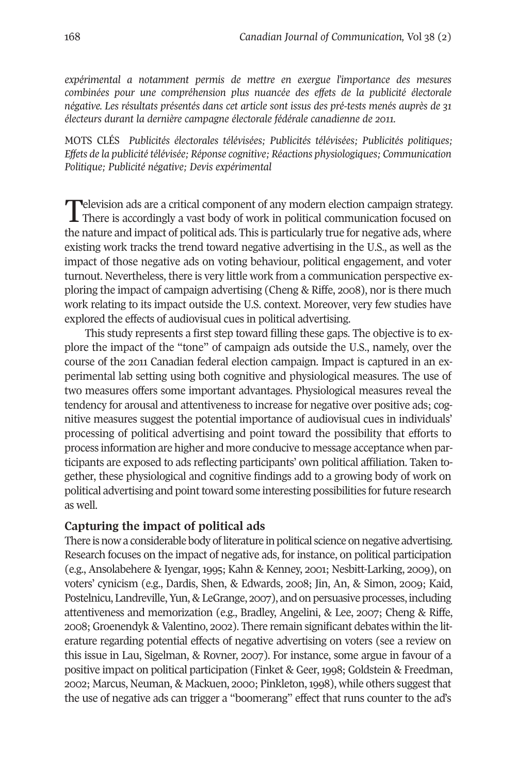*expérimental a notamment permis de mettre en exergue l'importance des mesures combinées pour une compréhension plus nuancée des effets de la publicité électorale négative. Les résultats présentés dans cet article sont issus des pré-tests menés auprès de 31 électeurs durant la dernière campagne électorale fédérale canadienne de 2011.*

MoTS CLéS *Publicités électorales télévisées; Publicités télévisées; Publicités politiques; Effets de la publicité télévisée; Réponse cognitive; Réactions physiologiques; Communication Politique; Publicité négative; Devis expérimental*

Television ads are a critical component of any modern election campaign strategy.<br>There is accordingly a vast body of work in political communication focused on the nature and impact of political ads. This is particularly true for negative ads, where existing work tracks the trend toward negative advertising in the U.S., as well as the impact of those negative ads on voting behaviour, political engagement, and voter turnout. Nevertheless, there is very little work from a communication perspective exploring the impact of campaign advertising (Cheng & Riffe, 2008), nor is there much work relating to its impact outside the U.S. context. Moreover, very few studies have explored the effects of audiovisual cues in political advertising.

This study represents a first step toward filling these gaps. The objective is to explore the impact of the "tone" of campaign ads outside the U.S., namely, over the course of the 2011 Canadian federal election campaign. Impact is captured in an experimental lab setting using both cognitive and physiological measures. The use of two measures offers some important advantages. Physiological measures reveal the tendency for arousal and attentiveness to increase for negative over positive ads; cognitive measures suggest the potential importance of audiovisual cues in individuals' processing of political advertising and point toward the possibility that efforts to process information are higher and more conducive to message acceptance when participants are exposed to ads reflecting participants' own political affiliation. Taken together, these physiological and cognitive findings add to a growing body of work on political advertising and point toward some interesting possibilities for future research as well.

# **Capturing the impact of political ads**

There is now a considerable body of literature in political science on negative advertising. Research focuses on the impact of negative ads, for instance, on political participation (e.g., Ansolabehere & Iyengar, 1995; Kahn & Kenney, 2001; Nesbitt-Larking, 2009), on voters' cynicism (e.g., Dardis, Shen, & Edwards, 2008; Jin, An, & Simon, 2009; Kaid, Postelnicu, Landreville, Yun, & LeGrange, 2007), and on persuasive processes, including attentiveness and memorization (e.g., bradley, Angelini, & Lee, 2007; Cheng & riffe, 2008; Groenendyk & Valentino, 2002). There remain significant debates within the literature regarding potential effects of negative advertising on voters (see a review on this issue in Lau, Sigelman, & rovner, 2007). For instance, some argue in favour of a positive impact on political participation (Finket & Geer, 1998; Goldstein & Freedman, 2002; Marcus, Neuman, & Mackuen, 2000; Pinkleton,1998), while others suggest that the use of negative ads can trigger a "boomerang" effect that runs counter to the ad's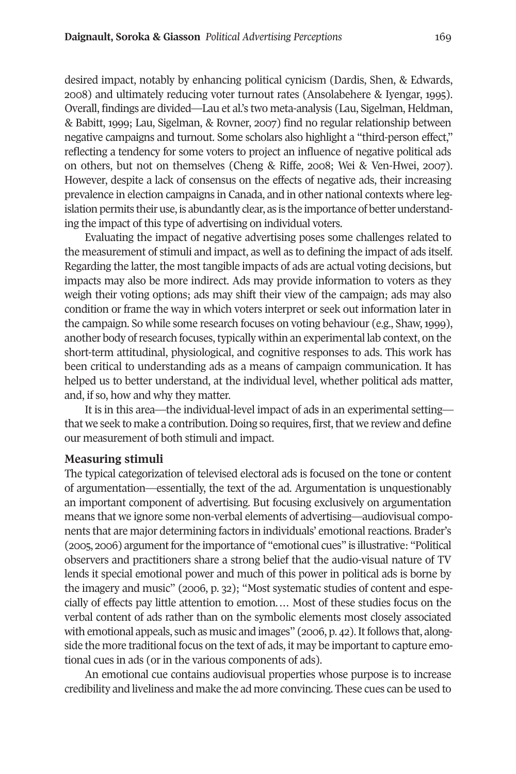desired impact, notably by enhancing political cynicism (Dardis, Shen, & Edwards, 2008) and ultimately reducing voter turnout rates (Ansolabehere & Iyengar, 1995). overall, findings are divided—Lau et al.'s two meta-analysis (Lau, Sigelman, Heldman, & babitt, 1999; Lau, Sigelman, & rovner, 2007) find no regular relationship between negative campaigns and turnout. Some scholars also highlight a "third-person effect," reflecting a tendency for some voters to project an influence of negative political ads on others, but not on themselves (Cheng & riffe, 2008; Wei & Ven-Hwei, 2007). However, despite a lack of consensus on the effects of negative ads, their increasing prevalence in election campaigns in Canada, and in other national contexts where legislation permits their use, is abundantly clear, as is the importance of better understanding the impact of this type of advertising on individual voters.

Evaluating the impact of negative advertising poses some challenges related to the measurement of stimuli and impact, as well as to defining the impact of ads itself. Regarding the latter, the most tangible impacts of ads are actual voting decisions, but impacts may also be more indirect. Ads may provide information to voters as they weigh their voting options; ads may shift their view of the campaign; ads may also condition or frame the way in which voters interpret or seek out information later in the campaign. So while some research focuses on voting behaviour (e.g., Shaw, 1999), another body of research focuses, typically within an experimental lab context, on the short-term attitudinal, physiological, and cognitive responses to ads. This work has been critical to understanding ads as a means of campaign communication. It has helped us to better understand, at the individual level, whether political ads matter, and, if so, how and why they matter.

It is in this area—the individual-level impact of ads in an experimental setting that we seek to make a contribution. Doing so requires, first, that we review and define our measurement of both stimuli and impact.

### **Measuring stimuli**

The typical categorization of televised electoral ads is focused on the tone or content of argumentation—essentially, the text of the ad. Argumentation is unquestionably an important component of advertising. but focusing exclusively on argumentation means that we ignore some non-verbal elements of advertising—audiovisual components that are major determining factors in individuals' emotionalreactions. brader's (2005, 2006) argumentforthe importance of "emotional cues" is illustrative: "Political observers and practitioners share a strong belief that the audio-visual nature of TV lends it special emotional power and much of this power in political ads is borne by the imagery and music" (2006, p. 32); "Most systematic studies of content and especially of effects pay little attention to emotion.… Most of these studies focus on the verbal content of ads rather than on the symbolic elements most closely associated with emotional appeals, such as music and images" (2006, p. 42). It follows that, alongside the more traditional focus on the text of ads, it may be important to capture emotional cues in ads (or in the various components of ads).

An emotional cue contains audiovisual properties whose purpose is to increase credibility and liveliness and make the ad more convincing. These cues can be used to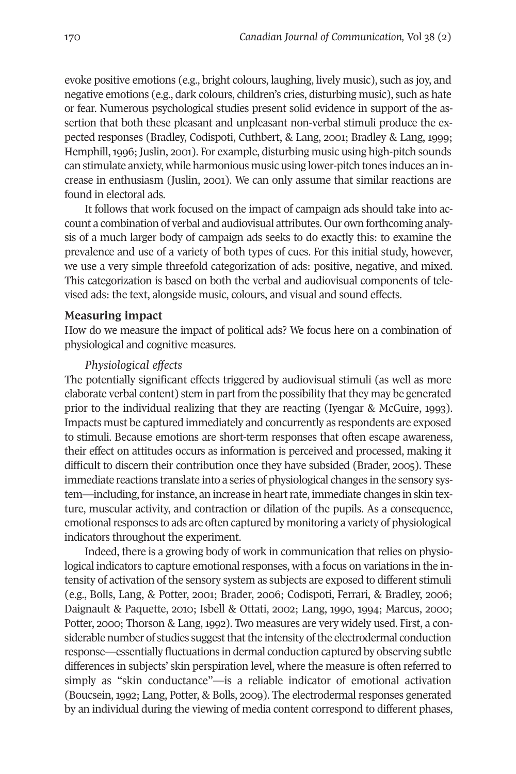evoke positive emotions (e.g., bright colours, laughing, lively music), such as joy, and negative emotions (e.g., dark colours, children's cries, disturbing music), such as hate or fear. Numerous psychological studies present solid evidence in support of the assertion that both these pleasant and unpleasant non-verbal stimuli produce the expected responses (bradley, Codispoti, Cuthbert, & Lang, 2001; bradley & Lang, 1999; Hemphill,1996; Juslin, 2001). For example, disturbing music using high-pitch sounds can stimulate anxiety, while harmonious music using lower-pitch tones induces an increase in enthusiasm (Juslin, 2001). We can only assume that similar reactions are found in electoral ads.

It follows that work focused on the impact of campaign ads should take into account a combination of verbal and audiovisual attributes. our own forthcoming analysis of a much larger body of campaign ads seeks to do exactly this: to examine the prevalence and use of a variety of both types of cues. For this initial study, however, we use a very simple threefold categorization of ads: positive, negative, and mixed. This categorization is based on both the verbal and audiovisual components of televised ads: the text, alongside music, colours, and visual and sound effects.

## **Measuring impact**

How do we measure the impact of political ads? We focus here on a combination of physiological and cognitive measures.

## *Physiological effects*

The potentially significant effects triggered by audiovisual stimuli (as well as more elaborate verbal content) stem in part from the possibility that they may be generated prior to the individual realizing that they are reacting (Iyengar & McGuire, 1993). Impacts must be captured immediately and concurrently as respondents are exposed to stimuli. because emotions are short-term responses that often escape awareness, their effect on attitudes occurs as information is perceived and processed, making it difficult to discern their contribution once they have subsided (brader, 2005). These immediate reactions translate into a series of physiological changes in the sensory system—including, for instance, an increase in heart rate, immediate changes in skin texture, muscular activity, and contraction or dilation of the pupils. As a consequence, emotional responses to ads are often captured by monitoring a variety of physiological indicators throughout the experiment.

Indeed, there is a growing body of work in communication that relies on physiological indicators to capture emotional responses, with a focus on variations in the intensity of activation of the sensory system as subjects are exposed to different stimuli (e.g., bolls, Lang, & Potter, 2001; brader, 2006; Codispoti, Ferrari, & bradley, 2006; Daignault & Paquette, 2010; Isbell & ottati, 2002; Lang, 1990, 1994; Marcus, 2000; Potter, 2000; Thorson & Lang, 1992). Two measures are very widely used. First, a considerable number of studies suggest that the intensity of the electrodermal conduction response—essentially fluctuations in dermal conduction captured by observing subtle differences in subjects' skin perspiration level, where the measure is often referred to simply as "skin conductance"—is a reliable indicator of emotional activation (boucsein, 1992; Lang, Potter, & bolls, 2009). The electrodermal responses generated by an individual during the viewing of media content correspond to different phases,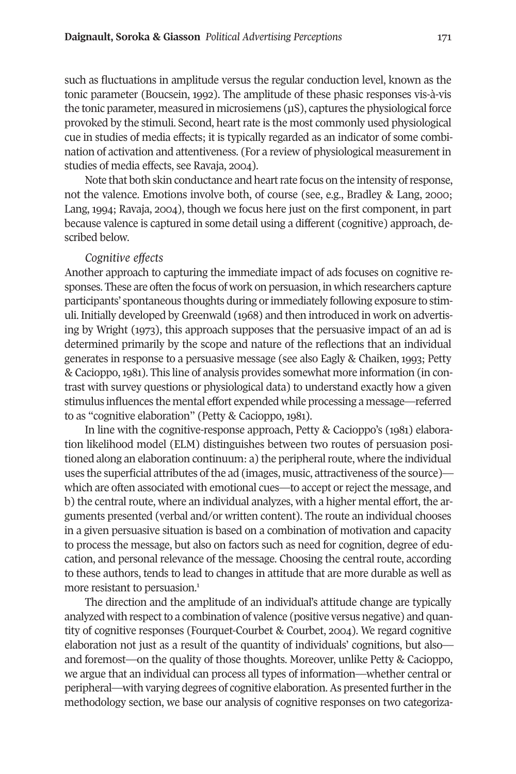such as fluctuations in amplitude versus the regular conduction level, known as the tonic parameter (boucsein, 1992). The amplitude of these phasic responses vis-à-vis the tonic parameter, measured in microsiemens (μS), captures the physiological force provoked by the stimuli. Second, heart rate is the most commonly used physiological cue in studies of media effects; it is typically regarded as an indicator of some combination of activation and attentiveness. (For a review of physiological measurement in studies of media effects, see Ravaja, 2004).

Note that both skin conductance and heart rate focus on the intensity of response, not the valence. Emotions involve both, of course (see, e.g., bradley & Lang, 2000; Lang, 1994; Ravaja, 2004), though we focus here just on the first component, in part because valence is captured in some detail using a different (cognitive) approach, described below.

## *Cognitive effects*

Another approach to capturing the immediate impact of ads focuses on cognitive responses. These are often the focus of work on persuasion, in which researchers capture participants' spontaneous thoughts during orimmediately following exposure to stimuli. Initially developed by Greenwald (1968) and then introduced in work on advertising by Wright (1973), this approach supposes that the persuasive impact of an ad is determined primarily by the scope and nature of the reflections that an individual generates in response to a persuasive message (see also Eagly & Chaiken, 1993; Petty & Cacioppo,1981). This line of analysis provides somewhat more information (in contrast with survey questions or physiological data) to understand exactly how a given stimulus influences the mental effort expended while processing a message—referred to as "cognitive elaboration" (Petty & Cacioppo, 1981).

In line with the cognitive-response approach, Petty & Cacioppo's (1981) elaboration likelihood model (ELM) distinguishes between two routes of persuasion positioned along an elaboration continuum: a) the peripheral route, where the individual uses the superficial attributes of the ad (images, music, attractiveness of the source) which are often associated with emotional cues—to accept or reject the message, and b) the central route, where an individual analyzes, with a higher mental effort, the arguments presented (verbal and/or written content). The route an individual chooses in a given persuasive situation is based on a combination of motivation and capacity to process the message, but also on factors such as need for cognition, degree of education, and personal relevance of the message. Choosing the central route, according to these authors, tends to lead to changes in attitude that are more durable as well as more resistant to persuasion. 1

The direction and the amplitude of an individual's attitude change are typically analyzed with respect to a combination of valence (positive versus negative) and quantity of cognitive responses (Fourquet-Courbet & Courbet, 2004). We regard cognitive elaboration not just as a result of the quantity of individuals' cognitions, but also and foremost—on the quality of those thoughts. Moreover, unlike Petty & Cacioppo, we argue that an individual can process all types of information—whether central or peripheral—with varying degrees of cognitive elaboration. As presented further in the methodology section, we base our analysis of cognitive responses on two categoriza-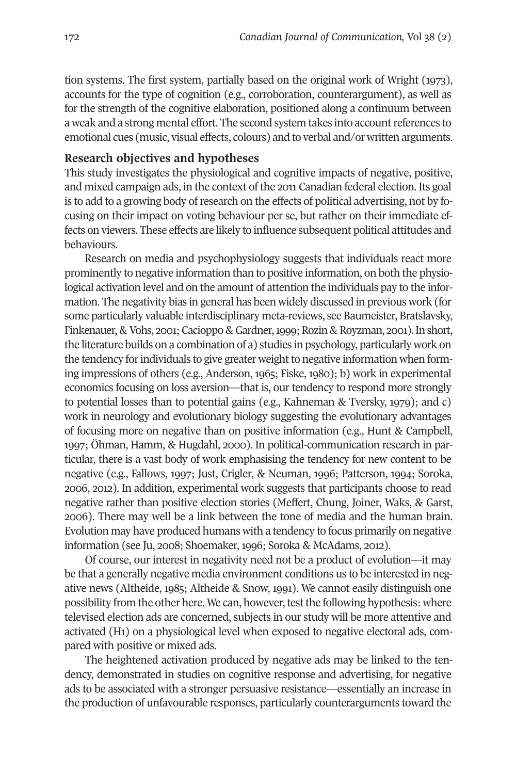tion systems. The first system, partially based on the original work of Wright (1973), accounts for the type of cognition (e.g., corroboration, counterargument), as well as for the strength of the cognitive elaboration, positioned along a continuum between a weak and a strong mental effort. The second system takes into account references to emotional cues (music, visual effects, colours) and to verbal and/or written arguments.

# **Research objectives and hypotheses**

This study investigates the physiological and cognitive impacts of negative, positive, and mixed campaign ads, in the context of the 2011 Canadian federal election. Its goal is to add to a growing body of research on the effects of political advertising, not by focusing on their impact on voting behaviour per se, but rather on their immediate effects on viewers. These effects are likely to influence subsequent political attitudes and behaviours.

Research on media and psychophysiology suggests that individuals react more prominently to negative information than to positive information, on both the physiological activation level and on the amount of attention the individuals pay to the information. The negativity bias in general has been widely discussed in previous work (for some particularly valuable interdisciplinary meta-reviews, see baumeister, bratslavsky, Finkenauer, & Vohs, 2001; Cacioppo & Gardner, 1999; Rozin & Royzman, 2001). In short, the literature builds on a combination of a) studies in psychology, particularly work on the tendency for individuals to give greater weight to negative information when forming impressions of others (e.g., Anderson, 1965; Fiske, 1980); b) work in experimental economics focusing on loss aversion—that is, our tendency to respond more strongly to potential losses than to potential gains (e.g., Kahneman & Tversky, 1979); and c) work in neurology and evolutionary biology suggesting the evolutionary advantages of focusing more on negative than on positive information (e.g., Hunt & Campbell, 1997; Öhman, Hamm, & Hugdahl, 2000). In political-communication research in particular, there is a vast body of work emphasising the tendency for new content to be negative (e.g., Fallows, 1997; Just, Crigler, & Neuman, 1996; Patterson, 1994; Soroka, 2006, 2012). In addition, experimental work suggests that participants choose to read negative rather than positive election stories (Meffert, Chung, Joiner, Waks, & Garst, 2006). There may well be a link between the tone of media and the human brain. Evolution may have produced humans with a tendency to focus primarily on negative information (see Ju, 2008; Shoemaker, 1996; Soroka & McAdams, 2012).

of course, our interest in negativity need not be a product of evolution—it may be that a generally negative media environment conditions us to be interested in negative news (Altheide, 1985; Altheide & Snow, 1991). We cannot easily distinguish one possibility from the other here. We can, however, test the following hypothesis: where televised election ads are concerned, subjects in our study will be more attentive and activated (H1) on a physiological level when exposed to negative electoral ads, compared with positive or mixed ads.

The heightened activation produced by negative ads may be linked to the tendency, demonstrated in studies on cognitive response and advertising, for negative ads to be associated with a stronger persuasive resistance—essentially an increase in the production of unfavourable responses, particularly counterarguments toward the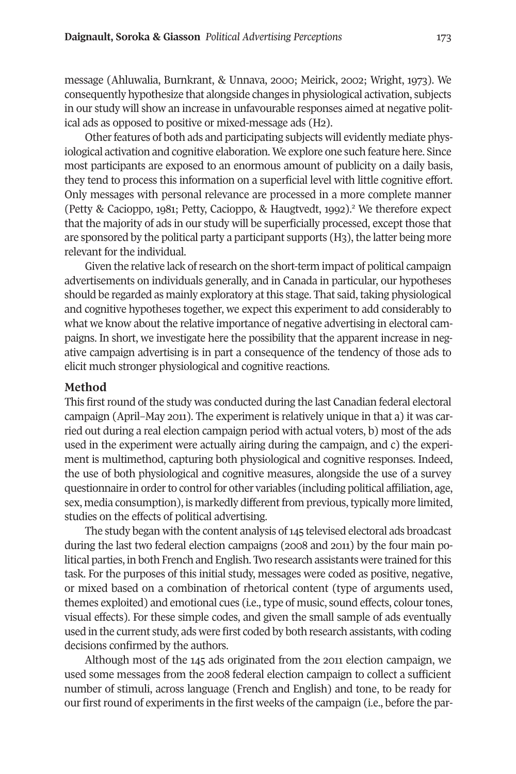message (Ahluwalia, burnkrant, & Unnava, 2000; Meirick, 2002; Wright, 1973). We consequently hypothesize that alongside changes in physiological activation, subjects in our study will show an increase in unfavourable responses aimed at negative political ads as opposed to positive or mixed-message ads (H2).

Other features of both ads and participating subjects will evidently mediate physiological activation and cognitive elaboration. We explore one such feature here. Since most participants are exposed to an enormous amount of publicity on a daily basis, they tend to process this information on a superficial level with little cognitive effort. only messages with personal relevance are processed in a more complete manner (Petty & Cacioppo, 1981; Petty, Cacioppo, & Haugtvedt, 1992). <sup>2</sup> We therefore expect that the majority of ads in our study will be superficially processed, except those that are sponsored by the political party a participant supports (H3), the latter being more relevant for the individual.

Given the relative lack ofresearch on the short-term impact of political campaign advertisements on individuals generally, and in Canada in particular, our hypotheses should be regarded as mainly exploratory at this stage. That said, taking physiological and cognitive hypotheses together, we expect this experiment to add considerably to what we know about the relative importance of negative advertising in electoral campaigns. In short, we investigate here the possibility that the apparent increase in negative campaign advertising is in part a consequence of the tendency of those ads to elicit much stronger physiological and cognitive reactions.

## **Method**

This first round of the study was conducted during the last Canadian federal electoral campaign (April–May 2011). The experiment is relatively unique in that a) it was carried out during a real election campaign period with actual voters, b) most of the ads used in the experiment were actually airing during the campaign, and c) the experiment is multimethod, capturing both physiological and cognitive responses. Indeed, the use of both physiological and cognitive measures, alongside the use of a survey questionnaire in order to control for other variables (including political affiliation, age, sex, media consumption), is markedly different from previous, typically more limited, studies on the effects of political advertising.

The study began with the content analysis of 145 televised electoral ads broadcast during the last two federal election campaigns (2008 and 2011) by the four main political parties, in both French and English. Two research assistants were trained forthis task. For the purposes of this initial study, messages were coded as positive, negative, or mixed based on a combination of rhetorical content (type of arguments used, themes exploited) and emotional cues (i.e., type of music, sound effects, colour tones, visual effects). For these simple codes, and given the small sample of ads eventually used in the current study, ads were first coded by both research assistants, with coding decisions confirmed by the authors.

Although most of the 145 ads originated from the 2011 election campaign, we used some messages from the 2008 federal election campaign to collect a sufficient number of stimuli, across language (French and English) and tone, to be ready for our first round of experiments in the first weeks of the campaign (i.e., before the par-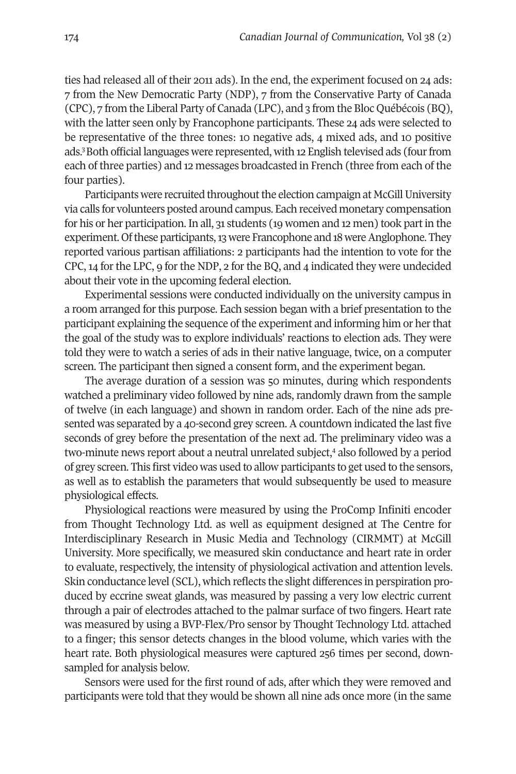ties had released all of their 2011 ads). In the end, the experiment focused on 24 ads: 7 from the New Democratic Party (NDP), 7 from the Conservative Party of Canada (CPC), 7 from the Liberal Party of Canada (LPC), and 3 from the bloc Québécois (bQ), with the latter seen only by Francophone participants. These 24 ads were selected to be representative of the three tones: 10 negative ads, 4 mixed ads, and 10 positive ads.<sup>3</sup> Both official languages were represented, with 12 English televised ads (four from each of three parties) and 12 messages broadcasted in French (three from each of the four parties).

Participants were recruited throughout the election campaign at McGill University via calls for volunteers posted around campus. Each received monetary compensation for his or her participation. In all, 31 students (19 women and 12 men) took part in the experiment. Of these participants, 13 were Francophone and 18 were Anglophone. They reported various partisan affiliations: 2 participants had the intention to vote for the CPC, 14 for the LPC, 9 for the NDP, 2 for the bQ, and 4 indicated they were undecided about their vote in the upcoming federal election.

Experimental sessions were conducted individually on the university campus in a room arranged for this purpose. Each session began with a brief presentation to the participant explaining the sequence of the experiment and informing him or herthat the goal of the study was to explore individuals' reactions to election ads. They were told they were to watch a series of ads in their native language, twice, on a computer screen. The participant then signed a consent form, and the experiment began.

The average duration of a session was 50 minutes, during which respondents watched a preliminary video followed by nine ads, randomly drawn from the sample of twelve (in each language) and shown in random order. Each of the nine ads presented was separated by a 40-second grey screen. A countdown indicated the last five seconds of grey before the presentation of the next ad. The preliminary video was a two-minute news report about a neutral unrelated subject, <sup>4</sup> also followed by a period of grey screen. This first video was used to allow participants to get used to the sensors, as well as to establish the parameters that would subsequently be used to measure physiological effects.

Physiological reactions were measured by using the ProComp Infiniti encoder from Thought Technology Ltd. as well as equipment designed at The Centre for Interdisciplinary Research in Music Media and Technology (CIRMMT) at McGill University. More specifically, we measured skin conductance and heart rate in order to evaluate, respectively, the intensity of physiological activation and attention levels. Skin conductance level (SCL), which reflects the slight differences in perspiration produced by eccrine sweat glands, was measured by passing a very low electric current through a pair of electrodes attached to the palmar surface of two fingers. Heart rate was measured by using a bVP-Flex/Pro sensor by Thought Technology Ltd. attached to a finger; this sensor detects changes in the blood volume, which varies with the heart rate. both physiological measures were captured 256 times per second, downsampled for analysis below.

Sensors were used for the first round of ads, after which they were removed and participants were told that they would be shown all nine ads once more (in the same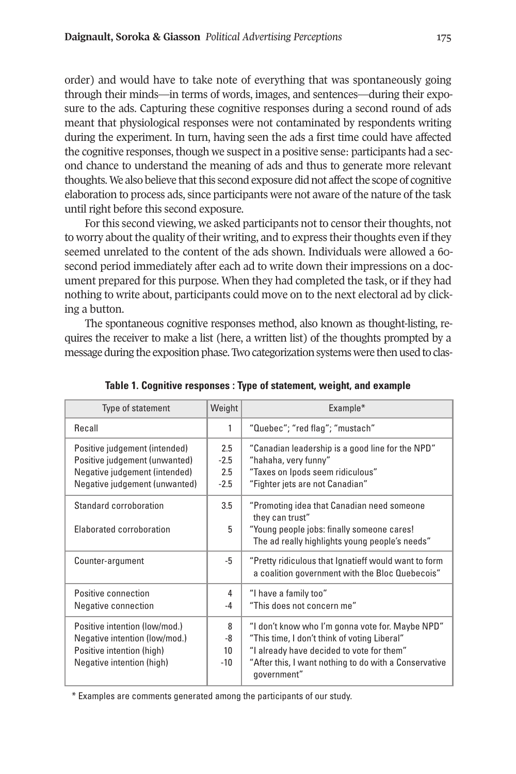order) and would have to take note of everything that was spontaneously going through their minds—in terms of words, images, and sentences—during their exposure to the ads. Capturing these cognitive responses during a second round of ads meant that physiological responses were not contaminated by respondents writing during the experiment. In turn, having seen the ads a first time could have affected the cognitive responses, though we suspect in a positive sense: participants had a second chance to understand the meaning of ads and thus to generate more relevant thoughts. We also believe that this second exposure did not affect the scope of cognitive elaboration to process ads, since participants were not aware of the nature of the task until right before this second exposure.

For this second viewing, we asked participants not to censor their thoughts, not to worry about the quality of their writing, and to express their thoughts even if they seemed unrelated to the content of the ads shown. Individuals were allowed a 60 second period immediately after each ad to write down their impressions on a document prepared for this purpose. When they had completed the task, or if they had nothing to write about, participants could move on to the next electoral ad by clicking a button.

The spontaneous cognitive responses method, also known as thought-listing, requires the receiver to make a list (here, a written list) of the thoughts prompted by a message during the exposition phase. Two categorization systems were then used to clas-

| Type of statement                                                                                                                | Weight                               | Example*                                                                                                                                                                                                              |
|----------------------------------------------------------------------------------------------------------------------------------|--------------------------------------|-----------------------------------------------------------------------------------------------------------------------------------------------------------------------------------------------------------------------|
| Recall                                                                                                                           | 1                                    | "Quebec"; "red flag"; "mustach"                                                                                                                                                                                       |
| Positive judgement (intended)<br>Positive judgement (unwanted)<br>Negative judgement (intended)<br>Negative judgement (unwanted) | 2.5<br>$-2.5$<br>2.5<br>$-2.5$       | "Canadian leadership is a good line for the NPD"<br>"hahaha, very funny"<br>"Taxes on Ipods seem ridiculous"<br>"Fighter jets are not Canadian"                                                                       |
| Standard corroboration<br>Elaborated corroboration                                                                               | 3.5<br>5                             | "Promoting idea that Canadian need someone<br>they can trust"<br>"Young people jobs: finally someone cares!<br>The ad really highlights young people's needs"                                                         |
| Counter-argument                                                                                                                 | -5                                   | "Pretty ridiculous that Ignatieff would want to form<br>a coalition government with the Bloc Quebecois"                                                                                                               |
| Positive connection<br>Negative connection                                                                                       | 4<br>-4                              | "I have a family too"<br>"This does not concern me"                                                                                                                                                                   |
| Positive intention (low/mod.)<br>Negative intention (low/mod.)<br>Positive intention (high)<br>Negative intention (high)         | 8<br>-8<br>10 <sup>10</sup><br>$-10$ | "I don't know who I'm gonna vote for. Maybe NPD"<br>"This time, I don't think of voting Liberal"<br>"I already have decided to vote for them"<br>"After this, I want nothing to do with a Conservative<br>government" |

**Table 1. Cognitive responses : Type of statement, weight, and example**

\* Examples are comments generated among the participants of our study.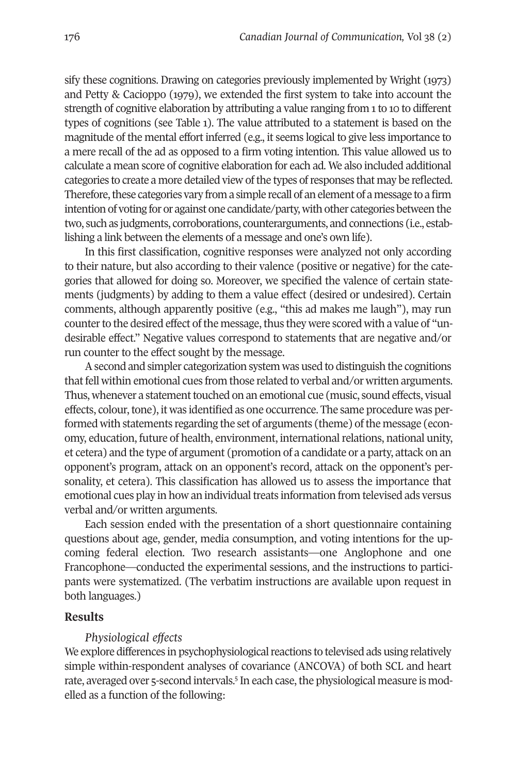sify these cognitions. Drawing on categories previously implemented by Wright (1973) and Petty & Cacioppo (1979), we extended the first system to take into account the strength of cognitive elaboration by attributing a value ranging from 1 to 10 to different types of cognitions (see Table 1). The value attributed to a statement is based on the magnitude of the mental effort inferred (e.g., it seems logical to give less importance to a mere recall of the ad as opposed to a firm voting intention. This value allowed us to calculate a mean score of cognitive elaboration for each ad. We also included additional categories to create a more detailed view of the types of responses that may be reflected. Therefore, these categories vary from a simple recall of an element of a message to a firm intention of voting for or against one candidate/party, with other categories between the two, suchas judgments, corroborations, counterarguments, and connections (i.e., establishing a link between the elements of a message and one's own life).

In this first classification, cognitive responses were analyzed not only according to their nature, but also according to their valence (positive or negative) for the categories that allowed for doing so. Moreover, we specified the valence of certain statements (judgments) by adding to them a value effect (desired or undesired). Certain comments, although apparently positive (e.g., "this ad makes me laugh"), may run counter to the desired effect of the message, thus they were scored with a value of "undesirable effect." Negative values correspond to statements that are negative and/or run counter to the effect sought by the message.

Asecond and simpler categorization system was used to distinguish the cognitions that fell within emotional cues from those related to verbal and/or written arguments. Thus, whenever a statement touched on an emotional cue (music, sound effects, visual effects, colour, tone), it was identified as one occurrence. The same procedure was performed with statements regarding the set of arguments (theme) of the message (economy, education, future of health, environment, internationalrelations, national unity, et cetera) and the type of argument (promotion of a candidate or a party, attack on an opponent's program, attack on an opponent's record, attack on the opponent's personality, et cetera). This classification has allowed us to assess the importance that emotional cues play in how an individual treats information from televised ads versus verbal and/or written arguments.

Each session ended with the presentation of a short questionnaire containing questions about age, gender, media consumption, and voting intentions for the upcoming federal election. Two research assistants—one Anglophone and one Francophone—conducted the experimental sessions, and the instructions to participants were systematized. (The verbatim instructions are available upon request in both languages.)

# **Results**

### *Physiological effects*

We explore differences in psychophysiological reactions to televised ads using relatively simple within-respondent analyses of covariance (ANCoVA) of both SCL and heart rate, averaged over 5-second intervals.<sup>5</sup> In each case, the physiological measure is modelled as a function of the following: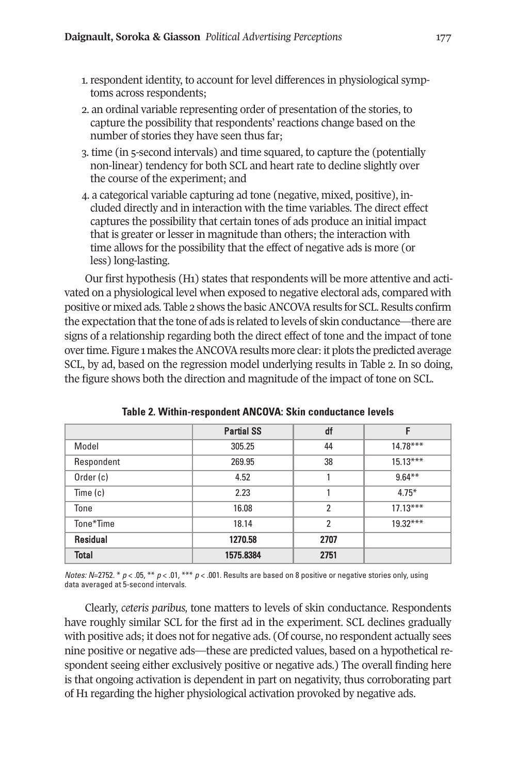- 1. respondent identity, to account for level differences in physiological symptoms across respondents;
- 2. an ordinal variable representing order of presentation of the stories, to capture the possibility that respondents' reactions change based on the number of stories they have seen thus far;
- 3. time (in 5-second intervals) and time squared, to capture the (potentially non-linear) tendency for both SCL and heart rate to decline slightly over the course of the experiment; and
- 4. a categorical variable capturing ad tone (negative, mixed, positive), included directly and in interaction with the time variables. The direct effect captures the possibility that certain tones of ads produce an initial impact that is greater or lesser in magnitude than others; the interaction with time allows for the possibility that the effect of negative ads is more (or less) long-lasting.

our first hypothesis (H1) states that respondents will be more attentive and activated on a physiological level when exposed to negative electoral ads, compared with positive or mixed ads. Table 2 shows the basic ANCOVA results for SCL. Results confirm the expectation that the tone of ads is related to levels of skin conductance—there are signs of a relationship regarding both the direct effect of tone and the impact of tone over time. Figure 1 makes the ANCOVA results more clear: it plots the predicted average SCL, by ad, based on the regression model underlying results in Table 2. In so doing, the figure shows both the direction and magnitude of the impact of tone on SCL.

|              | <b>Partial SS</b> | df             | F          |
|--------------|-------------------|----------------|------------|
| Model        | 305.25            | 44             | $14.78***$ |
| Respondent   | 269.95            | 38             | $15.13***$ |
| Order(c)     | 4.52              |                | $9.64***$  |
| Time(c)      | 2.23              |                | $4.75*$    |
| Tone         | 16.08             | 2              | $17.13***$ |
| Tone*Time    | 18.14             | $\overline{2}$ | $19.32***$ |
| Residual     | 1270.58           | 2707           |            |
| <b>Total</b> | 1575.8384         | 2751           |            |

**Table 2. Within-respondent ANCOVA: Skin conductance levels**

*Notes:*  $N=2752$ .  $* p < .05$ ,  $** p < .01$ ,  $*** p < .001$ . Results are based on 8 positive or negative stories only, using data averaged at 5-second intervals.

Clearly, *ceteris paribus*, tone matters to levels of skin conductance. Respondents have roughly similar SCL for the first ad in the experiment. SCL declines gradually with positive ads; it does not for negative ads. (Of course, no respondent actually sees nine positive or negative ads—these are predicted values, based on a hypothetical respondent seeing either exclusively positive or negative ads.) The overall finding here is that ongoing activation is dependent in part on negativity, thus corroborating part of H1 regarding the higher physiological activation provoked by negative ads.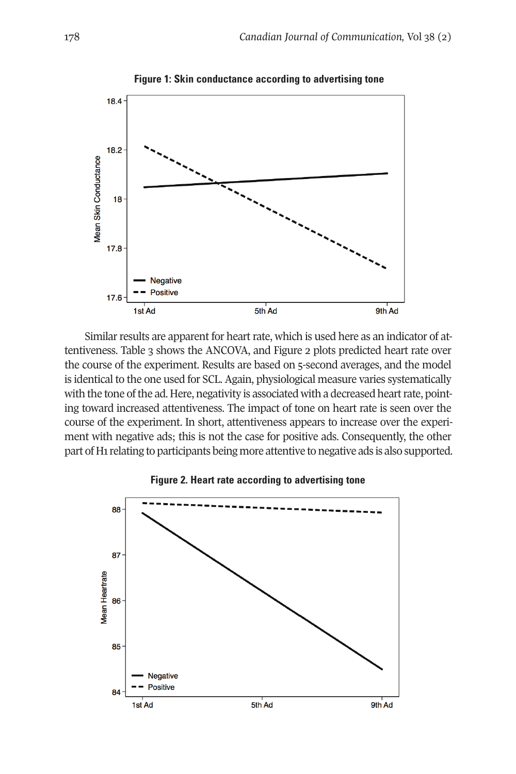

**Figure 1: Skin conductance according to advertising tone**

Similar results are apparent for heart rate, which is used here as an indicator of attentiveness. Table 3 shows the ANCoVA, and Figure 2 plots predicted heart rate over the course of the experiment. Results are based on 5-second averages, and the model is identical to the one used for SCL. Again, physiological measure varies systematically with the tone of the ad. Here, negativity is associated with a decreased heart rate, pointing toward increased attentiveness. The impact of tone on heart rate is seen over the course of the experiment. In short, attentiveness appears to increase over the experiment with negative ads; this is not the case for positive ads. Consequently, the other part of H1relating to participants being more attentive to negative ads is also supported.



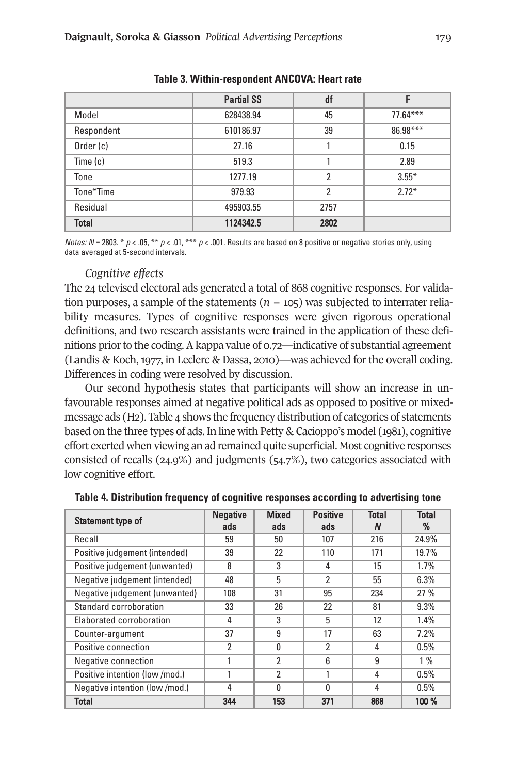|              | <b>Partial SS</b> | df   | F          |
|--------------|-------------------|------|------------|
| Model        | 628438.94         | 45   | $77.64***$ |
| Respondent   | 610186.97         | 39   | 86.98***   |
| Order (c)    | 27.16             |      | 0.15       |
| Time(c)      | 519.3             |      | 2.89       |
| Tone         | 1277.19           | 2    | $3.55*$    |
| Tone*Time    | 979.93            | 2    | $2.72*$    |
| Residual     | 495903.55         | 2757 |            |
| <b>Total</b> | 1124342.5         | 2802 |            |

**Table 3. Within-respondent ANCOVA: Heart rate**

*Notes:*  $N = 2803$ .  $* p < 05$ ,  $** p < 0.01$ ,  $*** p < 0.001$ . Results are based on 8 positive or negative stories only, using data averaged at 5-second intervals.

## *Cognitive effects*

The 24 televised electoral ads generated a total of 868 cognitive responses. For validation purposes, a sample of the statements  $(n = 105)$  was subjected to interrater reliability measures. Types of cognitive responses were given rigorous operational definitions, and two research assistants were trained in the application of these definitions priorto the coding.Akappa value of 0.72—indicative of substantial agreement (Landis & Koch, 1977, in Leclerc & Dassa, 2010)—was achieved for the overall coding. Differences in coding were resolved by discussion.

our second hypothesis states that participants will show an increase in unfavourable responses aimed at negative political ads as opposed to positive or mixedmessage ads (H2). Table 4 shows the frequency distribution of categories of statements based on the three types of ads.In line with Petty & Cacioppo's model (1981), cognitive effort exerted when viewing an ad remained quite superficial. Most cognitive responses consisted of recalls (24.9%) and judgments (54.7%), two categories associated with low cognitive effort.

| <b>Statement type of</b>       | <b>Negative</b><br>ads | <b>Mixed</b><br>ads | <b>Positive</b><br>ads | <b>Total</b><br>N | <b>Total</b><br>% |
|--------------------------------|------------------------|---------------------|------------------------|-------------------|-------------------|
| Recall                         | 59                     | 50                  | 107                    | 216               | 24.9%             |
| Positive judgement (intended)  | 39                     | 22                  | 110                    | 171               | 19.7%             |
| Positive judgement (unwanted)  | 8                      | 3                   | 4                      | 15                | 1.7%              |
| Negative judgement (intended)  | 48                     | 5                   | $\overline{2}$         | 55                | 6.3%              |
| Negative judgement (unwanted)  | 108                    | 31                  | 95                     | 234               | 27%               |
| Standard corroboration         | 33                     | 26                  | 22                     | 81                | 9.3%              |
| Elaborated corroboration       | 4                      | 3                   | 5                      | 12                | 1.4%              |
| Counter-argument               | 37                     | 9                   | 17                     | 63                | 7.2%              |
| Positive connection            | $\overline{2}$         | O                   | $\overline{2}$         | 4                 | 0.5%              |
| Negative connection            | 1                      | 2                   | 6                      | 9                 | $1\%$             |
| Positive intention (low /mod.) | 1                      | 2                   |                        | 4                 | 0.5%              |
| Negative intention (low /mod.) | 4                      | O                   | $\Omega$               | 4                 | 0.5%              |
| Total                          | 344                    | 153                 | 371                    | 868               | 100 %             |

| Table 4. Distribution frequency of cognitive responses according to advertising tone |  |  |  |
|--------------------------------------------------------------------------------------|--|--|--|
|                                                                                      |  |  |  |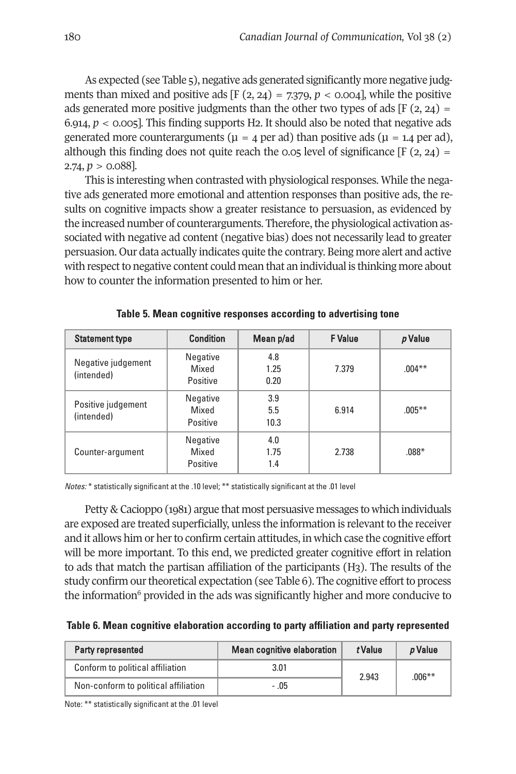As expected (see Table 5), negative ads generated significantly more negative judgments than mixed and positive ads  $[F (2, 24) = 7.379, p < 0.004]$ , while the positive ads generated more positive judgments than the other two types of ads [F (2, 24) = 6.914, *p* < 0.005]. This finding supports H2. It should also be noted that negative ads generated more counterarguments ( $\mu = 4$  per ad) than positive ads ( $\mu = 1.4$  per ad), although this finding does not quite reach the 0.05 level of significance  $[F(2, 24) =$  $2.74, p > 0.088$ .

This is interesting when contrasted with physiological responses. While the negative ads generated more emotional and attention responses than positive ads, the results on cognitive impacts show a greater resistance to persuasion, as evidenced by the increased number of counterarguments. Therefore, the physiological activation associated with negative ad content (negative bias) does not necessarily lead to greater persuasion. our data actually indicates quite the contrary. being more alert and active with respect to negative content could mean that an individual is thinking more about how to counter the information presented to him or her.

| <b>Statement type</b>            | <b>Condition</b>              | Mean p/ad           | <b>F</b> Value | p Value   |
|----------------------------------|-------------------------------|---------------------|----------------|-----------|
| Negative judgement<br>(intended) | Negative<br>Mixed<br>Positive | 4.8<br>1.25<br>0.20 | 7.379          | $.004**$  |
| Positive judgement<br>(intended) | Negative<br>Mixed<br>Positive | 3.9<br>5.5<br>10.3  | 6.914          | $.005***$ |
| Counter-argument                 | Negative<br>Mixed<br>Positive | 4.0<br>1.75<br>1.4  | 2.738          | $.088*$   |

**Table 5. Mean cognitive responses according to advertising tone**

*Notes:* \* statistically significant at the .10 level; \*\* statistically significant at the .01 level

Petty & Cacioppo (1981) argue that most persuasive messages to which individuals are exposed are treated superficially, unless the information is relevant to the receiver and it allows him or her to confirm certain attitudes, in which case the cognitive effort will be more important. To this end, we predicted greater cognitive effort in relation to ads that match the partisan affiliation of the participants (H3). The results of the study confirm our theoretical expectation (see Table 6). The cognitive effort to process the information<sup>6</sup> provided in the ads was significantly higher and more conducive to

**Table 6. Mean cognitive elaboration according to party affiliation and party represented**

| Party represented                    | Mean cognitive elaboration | t Value | <i>p</i> Value |  |
|--------------------------------------|----------------------------|---------|----------------|--|
| Conform to political affiliation     | 3.01                       | 2.943   | $.006**$       |  |
| Non-conform to political affiliation | - .05                      |         |                |  |

Note: \*\* statistically significant at the .01 level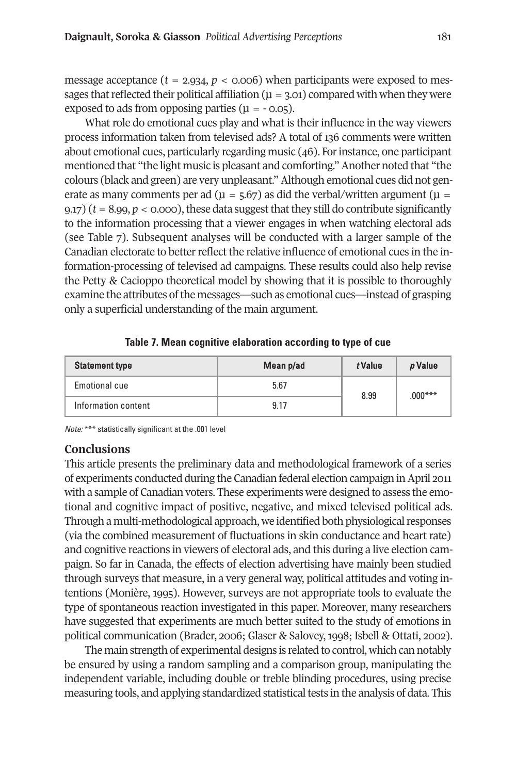message acceptance  $(t = 2.934, p < 0.006)$  when participants were exposed to messages that reflected their political affiliation ( $\mu$  = 3.01) compared with when they were exposed to ads from opposing parties ( $\mu$  = -0.05).

What role do emotional cues play and what is their influence in the way viewers process information taken from televised ads? A total of 136 comments were written about emotional cues, particularly regarding music (46). For instance, one participant mentioned that "the light music is pleasant and comforting."Another noted that "the colours (black and green) are very unpleasant."Although emotional cues did not generate as many comments per ad ( $\mu = 5.67$ ) as did the verbal/written argument ( $\mu =$ 9.17) ( $t = 8.99$ ,  $p <$  0.000), these data suggest that they still do contribute significantly to the information processing that a viewer engages in when watching electoral ads (see Table 7). Subsequent analyses will be conducted with a larger sample of the Canadian electorate to better reflect the relative influence of emotional cues in the information-processing of televised ad campaigns. These results could also help revise the Petty & Cacioppo theoretical model by showing that it is possible to thoroughly examine the attributes of the messages—such as emotional cues—instead of grasping only a superficial understanding of the main argument.

| <b>Statement type</b> | Mean p/ad | t Value | p Value   |  |
|-----------------------|-----------|---------|-----------|--|
| Emotional cue         | 5.67      | 8.99    | $.000***$ |  |
| Information content   | 9.17      |         |           |  |

|  |  |  |  | Table 7. Mean cognitive elaboration according to type of cue |  |  |  |  |  |
|--|--|--|--|--------------------------------------------------------------|--|--|--|--|--|
|--|--|--|--|--------------------------------------------------------------|--|--|--|--|--|

*Note:* \*\*\* statistically significant at the .001 level

## **Conclusions**

This article presents the preliminary data and methodological framework of a series of experiments conducted during the Canadian federal election campaign inApril 2011 with a sample of Canadian voters. These experiments were designed to assess the emotional and cognitive impact of positive, negative, and mixed televised political ads. Through a multi-methodological approach, we identified both physiologicalresponses (via the combined measurement of fluctuations in skin conductance and heart rate) and cognitive reactions in viewers of electoral ads, and this during a live election campaign. So far in Canada, the effects of election advertising have mainly been studied through surveys that measure, in a very general way, political attitudes and voting intentions (Monière, 1995). However, surveys are not appropriate tools to evaluate the type of spontaneous reaction investigated in this paper. Moreover, many researchers have suggested that experiments are much better suited to the study of emotions in political communication (brader, 2006; Glaser & Salovey, 1998; Isbell & ottati, 2002).

The main strength of experimental designs is related to control, which can notably be ensured by using a random sampling and a comparison group, manipulating the independent variable, including double or treble blinding procedures, using precise measuring tools, and applying standardized statistical tests in the analysis of data. This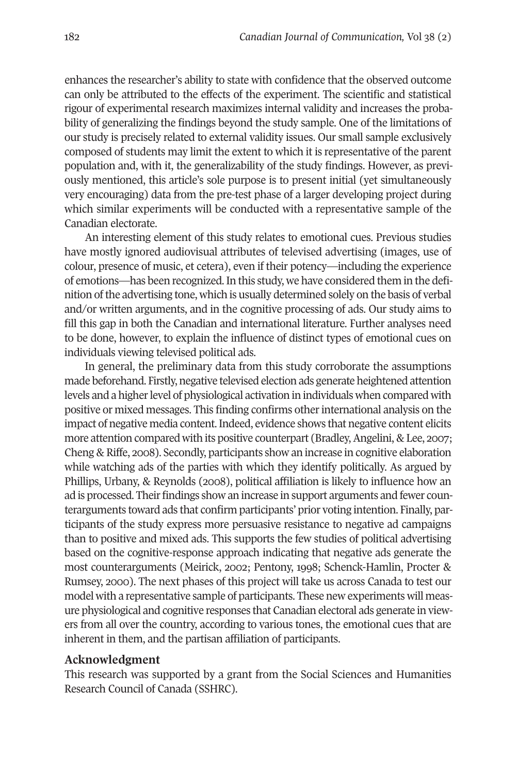enhances the researcher's ability to state with confidence that the observed outcome can only be attributed to the effects of the experiment. The scientific and statistical rigour of experimental research maximizes internal validity and increases the probability of generalizing the findings beyond the study sample. one of the limitations of our study is precisely related to external validity issues. our small sample exclusively composed of students may limit the extent to which it is representative of the parent population and, with it, the generalizability of the study findings. However, as previously mentioned, this article's sole purpose is to present initial (yet simultaneously very encouraging) data from the pre-test phase of a larger developing project during which similar experiments will be conducted with a representative sample of the Canadian electorate.

An interesting element of this study relates to emotional cues. Previous studies have mostly ignored audiovisual attributes of televised advertising (images, use of colour, presence of music, et cetera), even if their potency—including the experience of emotions—has been recognized.In this study, we have considered them in the definition ofthe advertising tone, which is usually determined solely on the basis of verbal and/or written arguments, and in the cognitive processing of ads. our study aims to fill this gap in both the Canadian and international literature. Further analyses need to be done, however, to explain the influence of distinct types of emotional cues on individuals viewing televised political ads.

In general, the preliminary data from this study corroborate the assumptions made beforehand. Firstly, negative televised election ads generate heightened attention levels and a higher level of physiological activation in individuals when compared with positive or mixed messages. This finding confirms otherinternational analysis on the impact of negative media content.Indeed, evidence shows that negative content elicits more attention compared with its positive counterpart (Bradley, Angelini, & Lee, 2007; Cheng & Riffe, 2008). Secondly, participants show an increase in cognitive elaboration while watching ads of the parties with which they identify politically. As argued by Phillips, Urbany, & Reynolds (2008), political affiliation is likely to influence how an ad is processed. Their findings show an increase in support arguments and fewer counterarguments toward ads that confirm participants' prior voting intention. Finally, participants of the study express more persuasive resistance to negative ad campaigns than to positive and mixed ads. This supports the few studies of political advertising based on the cognitive-response approach indicating that negative ads generate the most counterarguments (Meirick, 2002; Pentony, 1998; Schenck-Hamlin, Procter & Rumsey, 2000). The next phases of this project will take us across Canada to test our model with a representative sample of participants. These new experiments will measure physiological and cognitive responses that Canadian electoral ads generate in viewers from all over the country, according to various tones, the emotional cues that are inherent in them, and the partisan affiliation of participants.

### **Acknowledgment**

This research was supported by a grant from the Social Sciences and Humanities Research Council of Canada (SSHRC).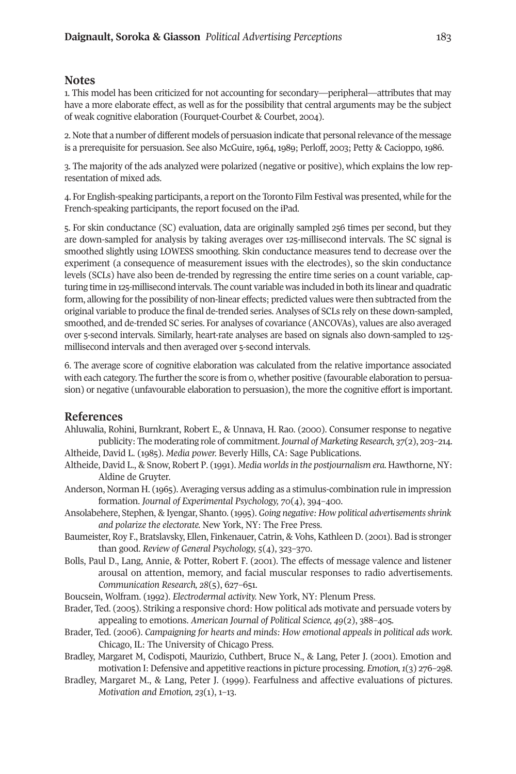## **Notes**

1. This model has been criticized for not accounting for secondary—peripheral—attributes that may have a more elaborate effect, as well as for the possibility that central arguments may be the subject of weak cognitive elaboration (Fourquet-Courbet & Courbet, 2004).

2. Note that a number of different models of persuasion indicate that personal relevance of the message is a prerequisite for persuasion. See also McGuire, 1964, 1989; Perloff, 2003; Petty & Cacioppo, 1986.

3. The majority of the ads analyzed were polarized (negative or positive), which explains the low representation of mixed ads.

4. For English-speaking participants, a report on the Toronto Film Festival was presented, while forthe French-speaking participants, the report focused on the iPad.

5. For skin conductance (SC) evaluation, data are originally sampled 256 times per second, but they are down-sampled for analysis by taking averages over 125-millisecond intervals. The SC signal is smoothed slightly using LoWESS smoothing. Skin conductance measures tend to decrease over the experiment (a consequence of measurement issues with the electrodes), so the skin conductance levels (SCLs) have also been de-trended by regressing the entire time series on a count variable, capturing time in 125-millisecond intervals. The count variable was included in both its linear and quadratic form, allowing forthe possibility of non-linear effects; predicted values were then subtracted from the original variable to produce the final de-trended series. Analyses of SCLs rely on these down-sampled, smoothed, and de-trended SC series. For analyses of covariance (ANCoVAs), values are also averaged over 5-second intervals. Similarly, heart-rate analyses are based on signals also down-sampled to 125 millisecond intervals and then averaged over 5-second intervals.

6. The average score of cognitive elaboration was calculated from the relative importance associated with each category. The further the score is from 0, whether positive (favourable elaboration to persuasion) or negative (unfavourable elaboration to persuasion), the more the cognitive effort is important.

### **References**

- Ahluwalia, Rohini, Burnkrant, Robert E., & Unnava, H. Rao. (2000). Consumer response to negative publicity: The moderating role of commitment.*Journal of Marketing Research, 37*(2), 203–214.
- Altheide, David L. (1985). *Media power.* beverly Hills, CA: Sage Publications.
- Altheide, David L., & Snow, Robert P. (1991). *Media worlds in the postjournalism era.* Hawthorne, NY: Aldine de Gruyter.
- Anderson, Norman H. (1965). Averaging versus adding as a stimulus-combination rule in impression formation. *Journal of Experimental Psychology, 70*(4), 394–400.
- Ansolabehere, Stephen, & Iyengar, Shanto. (1995). *Going negative: How political advertisementsshrink and polarize the electorate.* New york, Ny: The Free Press.
- Baumeister, Roy F., Bratslavsky, Ellen, Finkenauer, Catrin, & Vohs, Kathleen D. (2001). Bad is stronger than good. *Review of General Psychology, 5*(4), 323–370.
- bolls, Paul D., Lang, Annie, & Potter, robert F. (2001). The effects of message valence and listener arousal on attention, memory, and facial muscular responses to radio advertisements. *Communication Research, 28*(5), 627–651.
- boucsein, Wolfram. (1992). *Electrodermal activity.* New york, Ny: Plenum Press.
- brader, Ted. (2005). Striking a responsive chord: How political ads motivate and persuade voters by appealing to emotions. *American Journal of Political Science, 49*(2), 388–405.
- brader, Ted. (2006). *Campaigning for hearts and minds: How emotional appeals in political ads work.* Chicago, IL: The University of Chicago Press.
- bradley, Margaret M, Codispoti, Maurizio, Cuthbert, bruce N., & Lang, Peter J. (2001). Emotion and motivation I: Defensive and appetitive reactions in picture processing. *Emotion*,  $1(3)$  276–298.
- bradley, Margaret M., & Lang, Peter J. (1999). Fearfulness and affective evaluations of pictures. *Motivation and Emotion, 23*(1), 1–13.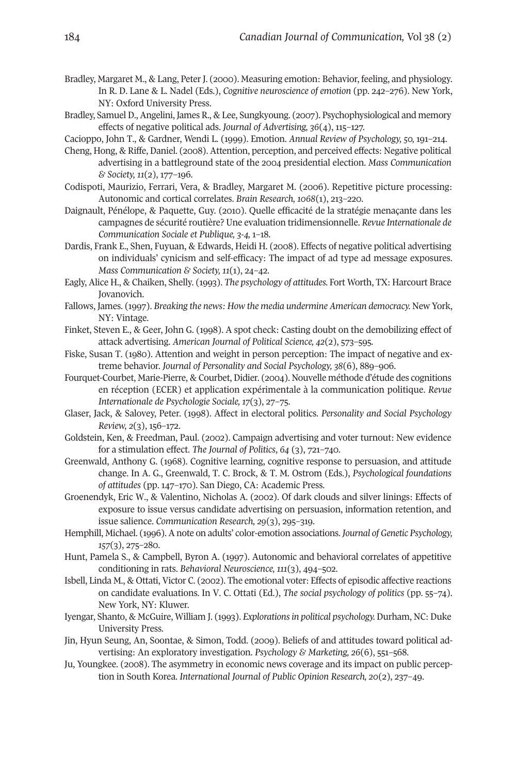- Bradley, Margaret M., & Lang, Peter J. (2000). Measuring emotion: Behavior, feeling, and physiology. In r. D. Lane & L. Nadel (Eds.), *Cognitive neuroscience of emotion* (pp. 242–276). New york, Ny: oxford University Press.
- bradley, Samuel D., Angelini, James r., & Lee, Sungkyoung. (2007). Psychophysiological and memory effects of negative political ads. *Journal of Advertising, 36*(4), 115–127.
- Cacioppo, John T., & Gardner, Wendi L. (1999). Emotion. *Annual Review of Psychology, 50,* 191–214.
- Cheng, Hong, & riffe, Daniel. (2008). Attention, perception, and perceived effects: Negative political advertising in a battleground state of the 2004 presidential election. *Mass Communication & Society, 11*(2), 177–196.
- Codispoti, Maurizio, Ferrari, Vera, & Bradley, Margaret M. (2006). Repetitive picture processing: Autonomic and cortical correlates. *Brain Research, 1068*(1), 213–220.
- Daignault, Pénélope, & Paquette, Guy. (2010). Quelle efficacité de la stratégie menaçante dans les campagnes de sécurité routière? Une evaluation tridimensionnelle. *Revue Internationale de Communication Sociale et Publique, 3-4,* 1–18.
- Dardis, Frank E., Shen, Fuyuan, & Edwards, Heidi H. (2008). Effects of negative political advertising on individuals' cynicism and self-efficacy: The impact of ad type ad message exposures. *Mass Communication & Society, 11*(1), 24–42.
- Eagly, Alice H., & Chaiken, Shelly. (1993). *The psychology of attitudes.* Fort Worth, TX: Harcourt brace Jovanovich.
- Fallows, James. (1997). *Breaking the news: How the media undermine American democracy.* New york, Ny: Vintage.
- Finket, Steven E., & Geer, John G. (1998). A spot check: Casting doubt on the demobilizing effect of attack advertising. *American Journal of Political Science, 42*(2), 573–595.
- Fiske, Susan T. (1980). Attention and weight in person perception: The impact of negative and extreme behavior. *Journal of Personality and Social Psychology, 38*(6), 889–906.
- Fourquet-Courbet, Marie-Pierre, & Courbet, Didier. (2004). Nouvelle méthode d'étude des cognitions en réception (ECEr) et application expérimentale à la communication politique. *Revue Internationale de Psychologie Sociale, 17*(3), 27–75.
- Glaser, Jack, & Salovey, Peter. (1998). Affect in electoral politics. *Personality and Social Psychology Review, 2*(3), 156–172.
- Goldstein, Ken, & Freedman, Paul. (2002). Campaign advertising and voter turnout: New evidence for a stimulation effect. *The Journal of Politics*, *64* (3), 721–740.
- Greenwald, Anthony G. (1968). Cognitive learning, cognitive response to persuasion, and attitude change. In A. G., Greenwald, T. C. brock, & T. M. ostrom (Eds.), *Psychological foundations of attitudes* (pp. 147–170). San Diego, CA: Academic Press.
- Groenendyk, Eric W., & Valentino, Nicholas A. (2002). of dark clouds and silver linings: Effects of exposure to issue versus candidate advertising on persuasion, information retention, and issue salience. *Communication Research, 29*(3), 295–319.
- Hemphill, Michael. (1996). A note on adults' color-emotion associations. *Journal of Genetic Psychology, 157*(3), 275–280.
- Hunt, Pamela S., & Campbell, byron A. (1997). Autonomic and behavioral correlates of appetitive conditioning in rats. *Behavioral Neuroscience, 111*(3), 494–502.
- Isbell, Linda M., & ottati, Victor C. (2002). The emotional voter: Effects of episodic affective reactions on candidate evaluations. In V. C. ottati (Ed.), *The social psychology of politics* (pp. 55–74). New york, Ny: Kluwer.
- Iyengar, Shanto, & McGuire, William J. (1993). *Explorationsin political psychology.* Durham, NC: Duke University Press.
- Jin, Hyun Seung, An, Soontae, & Simon, Todd. (2009). beliefs of and attitudes toward political advertising: An exploratory investigation. *Psychology & Marketing, 26*(6), 551–568.
- Ju, youngkee. (2008). The asymmetry in economic news coverage and its impact on public perception in South Korea. *International Journal of Public Opinion Research, 20*(2), 237–49.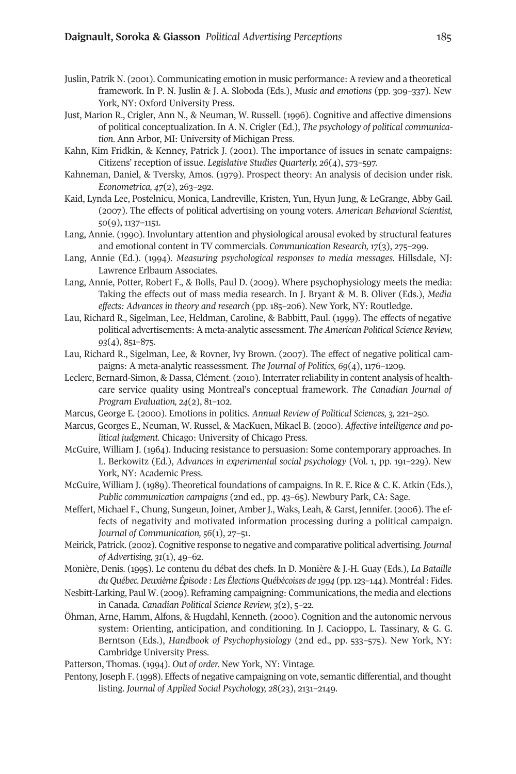- Juslin, Patrik N. (2001). Communicating emotion in music performance: A review and a theoretical framework. In P. N. Juslin & J. A. Sloboda (Eds.), *Music and emotions* (pp. 309–337). New York, NY: Oxford University Press.
- Just, Marion R., Crigler, Ann N., & Neuman, W. Russell. (1996). Cognitive and affective dimensions of political conceptualization. In A. N. Crigler (Ed.), *The psychology of political communication.* Ann Arbor, MI: University of Michigan Press.
- Kahn, Kim Fridkin, & Kenney, Patrick J. (2001). The importance of issues in senate campaigns: Citizens' reception of issue. *Legislative Studies Quarterly, 26*(4), 573–597.
- Kahneman, Daniel, & Tversky, Amos. (1979). Prospect theory: An analysis of decision under risk. *Econometrica, 47*(2), 263–292.
- Kaid, Lynda Lee, Postelnicu, Monica, Landreville, Kristen, yun, Hyun Jung, & LeGrange, Abby Gail. (2007). The effects of political advertising on young voters. *American Behavioral Scientist, 50*(9), 1137–1151.
- Lang, Annie. (1990). Involuntary attention and physiological arousal evoked by structural features and emotional content in TV commercials. *Communication Research, 17*(3), 275–299.
- Lang, Annie (Ed.). (1994). *Measuring psychological responses to media messages.* Hillsdale, NJ: Lawrence Erlbaum Associates.
- Lang, Annie, Potter, Robert F., & Bolls, Paul D. (2009). Where psychophysiology meets the media: Taking the effects out of mass media research. In J. bryant & M. b. oliver (Eds.), *Media effects: Advances in theory and research* (pp. 185-206). New York, NY: Routledge.
- Lau, Richard R., Sigelman, Lee, Heldman, Caroline, & Babbitt, Paul. (1999). The effects of negative political advertisements: A meta-analytic assessment. *The American Political Science Review, 93*(4), 851–875.
- Lau, Richard R., Sigelman, Lee, & Rovner, Ivy Brown. (2007). The effect of negative political campaigns: A meta-analytic reassessment. *The Journal of Politics, 69*(4), 1176–1209.
- Leclerc, bernard-Simon, & Dassa, Clément. (2010). Interraterreliability in content analysis of healthcare service quality using Montreal's conceptual framework. *The Canadian Journal of Program Evaluation, 24*(2), 81–102.
- Marcus, George E. (2000). Emotions in politics. *Annual Review of Political Sciences, 3,* 221–250.
- Marcus, Georges E., Neuman, W. Russel, & MacKuen, Mikael B. (2000). Affective intelligence and po*litical judgment.* Chicago: University of Chicago Press.
- McGuire, William J. (1964). Inducing resistance to persuasion: Some contemporary approaches. In L. berkowitz (Ed.), *Advances in experimental social psychology* (Vol. 1, pp. 191–229). New York, NY: Academic Press.
- McGuire, William J. (1989). Theoretical foundations of campaigns. In R. E. Rice & C. K. Atkin (Eds.), *Public communication campaigns* (2nd ed., pp. 43–65). Newbury Park, CA: Sage.
- Meffert, Michael F., Chung, Sungeun, Joiner, Amber J., Waks, Leah, & Garst, Jennifer. (2006). The effects of negativity and motivated information processing during a political campaign. *Journal of Communication, 56*(1), 27–51.
- Meirick, Patrick. (2002). Cognitive response to negative and comparative political advertising. *Journal of Advertising, 31*(1), 49–62.
- Monière, Denis. (1995). Le contenu du débat des chefs. In D. Monière & J.-H. Guay (Eds.), *La Bataille du Québec.Deuxième Épisode : Les Élections Québécoises de 1994* (pp.123–144). Montréal: Fides.
- Nesbitt-Larking, Paul W. (2009). Reframing campaigning: Communications, the media and elections in Canada. *Canadian Political Science Review, 3*(2), 5–22.
- Öhman, Arne, Hamm, Alfons, & Hugdahl, Kenneth. (2000). Cognition and the autonomic nervous system: orienting, anticipation, and conditioning. In J. Cacioppo, L. Tassinary, & G. G. berntson (Eds.), *Handbook of Psychophysiology* (2nd ed., pp. 533–575). New york, Ny: Cambridge University Press.
- Patterson, Thomas. (1994). *Out of order.* New york, Ny: Vintage.
- Pentony, Joseph F. (1998). Effects of negative campaigning on vote, semantic differential, and thought listing. *Journal of Applied Social Psychology, 28*(23), 2131–2149.